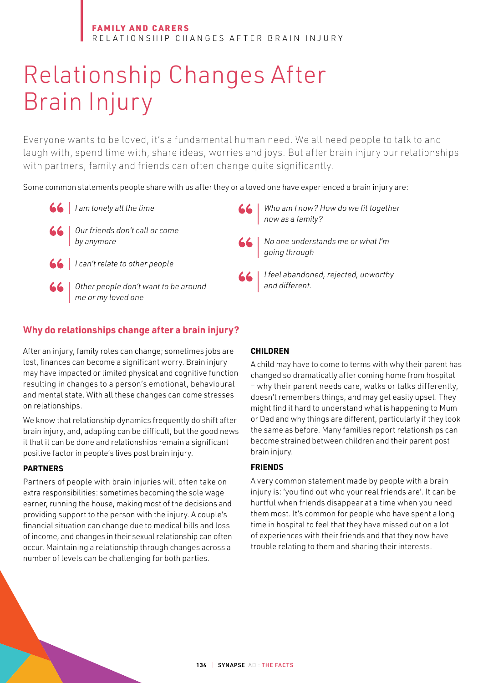# Relationship Changes After Brain Injury

Everyone wants to be loved, it's a fundamental human need. We all need people to talk to and laugh with, spend time with, share ideas, worries and joys. But after brain injury our relationships with partners, family and friends can often change quite significantly.

Some common statements people share with us after they or a loved one have experienced a brain injury are:



- *I am lonely all the time*
	- *Our friends don't call or come by anymore*
- *I can't relate to other people*
	- *Other people don't want to be around me or my loved one*

# **Why do relationships change after a brain injury?**

After an injury, family roles can change; sometimes jobs are lost, finances can become a significant worry. Brain injury may have impacted or limited physical and cognitive function resulting in changes to a person's emotional, behavioural and mental state. With all these changes can come stresses on relationships.

We know that relationship dynamics frequently do shift after brain injury, and, adapting can be difficult, but the good news it that it can be done and relationships remain a significant positive factor in people's lives post brain injury.

# **PARTNERS**

Partners of people with brain injuries will often take on extra responsibilities: sometimes becoming the sole wage earner, running the house, making most of the decisions and providing support to the person with the injury. A couple's financial situation can change due to medical bills and loss of income, and changes in their sexual relationship can often occur. Maintaining a relationship through changes across a number of levels can be challenging for both parties.

## **CHILDREN**

A child may have to come to terms with why their parent has changed so dramatically after coming home from hospital – why their parent needs care, walks or talks differently, doesn't remembers things, and may get easily upset. They might find it hard to understand what is happening to Mum or Dad and why things are different, particularly if they look the same as before. Many families report relationships can become strained between children and their parent post brain injury.

*Who am I now? How do we fit together* 

*No one understands me or what I'm* 

*I feel abandoned, rejected, unworthy*

*now as a family?*

*going through*

*and different.*

# **FRIENDS**

A very common statement made by people with a brain injury is: 'you find out who your real friends are'. It can be hurtful when friends disappear at a time when you need them most. It's common for people who have spent a long time in hospital to feel that they have missed out on a lot of experiences with their friends and that they now have trouble relating to them and sharing their interests.